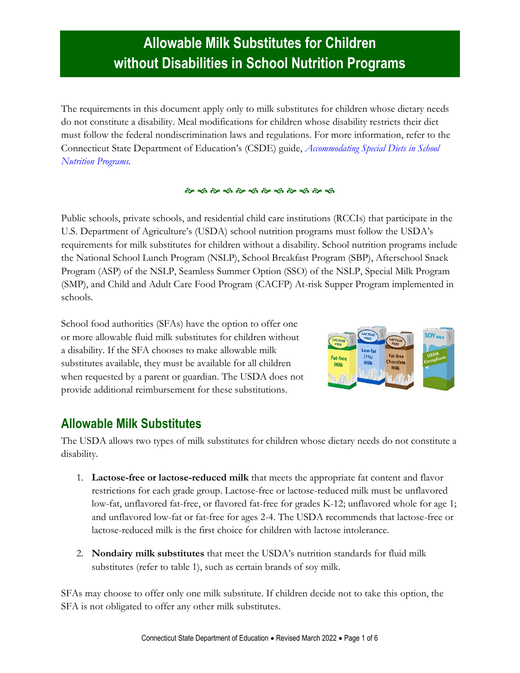The requirements in this document apply only to milk substitutes for children whose dietary needs do not constitute a disability. Meal modifications for children whose disability restricts their diet must follow the federal nondiscrimination laws and regulations. For more information, refer to the Connecticut State Department of Education's (CSDE) guide, *[Accommodating Special](https://portal.ct.gov/-/media/SDE/Nutrition/NSLP/SpecDiet/Special_Diets_Guide_SNP.pdf) Diets in School [Nutrition Programs.](https://portal.ct.gov/-/media/SDE/Nutrition/NSLP/SpecDiet/Special_Diets_Guide_SNP.pdf)*

#### 

Public schools, private schools, and residential child care institutions (RCCIs) that participate in the U.S. Department of Agriculture's (USDA) school nutrition programs must follow the USDA's requirements for milk substitutes for children without a disability. School nutrition programs include the National School Lunch Program (NSLP), School Breakfast Program (SBP), Afterschool Snack Program (ASP) of the NSLP, Seamless Summer Option (SSO) of the NSLP, Special Milk Program (SMP), and Child and Adult Care Food Program (CACFP) At-risk Supper Program implemented in schools.

School food authorities (SFAs) have the option to offer one or more allowable fluid milk substitutes for children without a disability. If the SFA chooses to make allowable milk substitutes available, they must be available for all children when requested by a parent or guardian. The USDA does not provide additional reimbursement for these substitutions.



#### **Allowable Milk Substitutes**

The USDA allows two types of milk substitutes for children whose dietary needs do not constitute a disability.

- 1. **Lactose-free or lactose-reduced milk** that meets the appropriate fat content and flavor restrictions for each grade group. Lactose-free or lactose-reduced milk must be unflavored low-fat, unflavored fat-free, or flavored fat-free for grades K-12; unflavored whole for age 1; and unflavored low-fat or fat-free for ages 2-4. The USDA recommends that lactose-free or lactose-reduced milk is the first choice for children with lactose intolerance.
- 2. **Nondairy milk substitutes** that meet the USDA's nutrition standards for fluid milk substitutes (refer to table 1), such as certain brands of soy milk.

SFAs may choose to offer only one milk substitute. If children decide not to take this option, the SFA is not obligated to offer any other milk substitutes.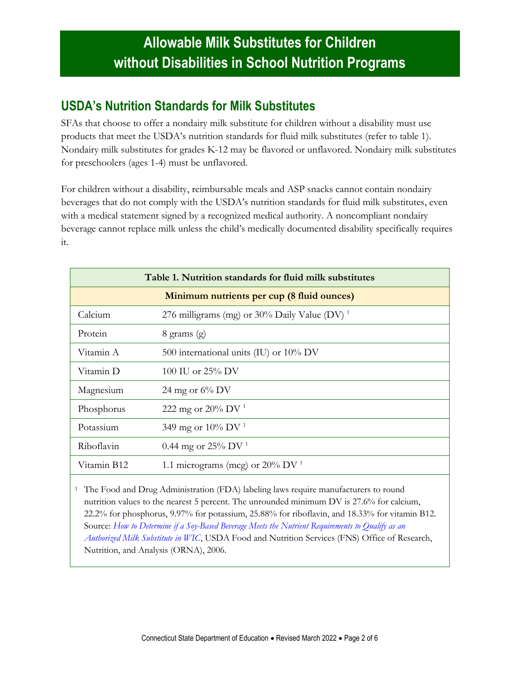### **USDA's Nutrition Standards for Milk Substitutes**

SFAs that choose to offer a nondairy milk substitute for children without a disability must use products that meet the USDA's nutrition standards for fluid milk substitutes (refer to table 1). Nondairy milk substitutes for grades K-12 may be flavored or unflavored. Nondairy milk substitutes for preschoolers (ages 1-4) must be unflavored.

For children without a disability, reimbursable meals and ASP snacks cannot contain nondairy beverages that do not comply with the USDA's nutrition standards for fluid milk substitutes, even with a medical statement signed by a recognized medical authority. A noncompliant nondairy beverage cannot replace milk unless the child's medically documented disability specifically requires it.

| Table 1. Nutrition standards for fluid milk substitutes |                                                          |
|---------------------------------------------------------|----------------------------------------------------------|
|                                                         | Minimum nutrients per cup (8 fluid ounces)               |
| Calcium                                                 | 276 milligrams (mg) or 30% Daily Value (DV) <sup>1</sup> |
| Protein                                                 | $8 \text{ grams} (\text{g})$                             |
| Vitamin A                                               | 500 international units (IU) or $10\%$ DV                |
| Vitamin D                                               | 100 IU or $25\%$ DV                                      |
| Magnesium                                               | 24 mg or $6\%$ DV                                        |
| Phosphorus                                              | 222 mg or 20% DV <sup>1</sup>                            |
| Potassium                                               | 349 mg or 10% DV <sup>1</sup>                            |
| Riboflavin                                              | 0.44 mg or $25\%$ DV <sup>1</sup>                        |
| Vitamin B12                                             | 1.1 micrograms (mcg) or $20\%$ DV <sup>1</sup>           |

<sup>1</sup> The Food and Drug Administration (FDA) labeling laws require manufacturers to round nutrition values to the nearest 5 percent. The unrounded minimum DV is 27.6% for calcium, 22.2% for phosphorus, 9.97% for potassium, 25.88% for riboflavin, and 18.33% for vitamin B12. Source: *[How to Determine if a Soy-Based Beverage Meets the Nutrient Requirements to Qualify as an](https://wicworks.fns.usda.gov/wicworks/Learning_Center/FP/soybeverage.pdf.)  [Authorized Milk Substitute in WIC](https://wicworks.fns.usda.gov/wicworks/Learning_Center/FP/soybeverage.pdf.)*, USDA Food and Nutrition Services (FNS) Office of Research, Nutrition, and Analysis (ORNA), 2006.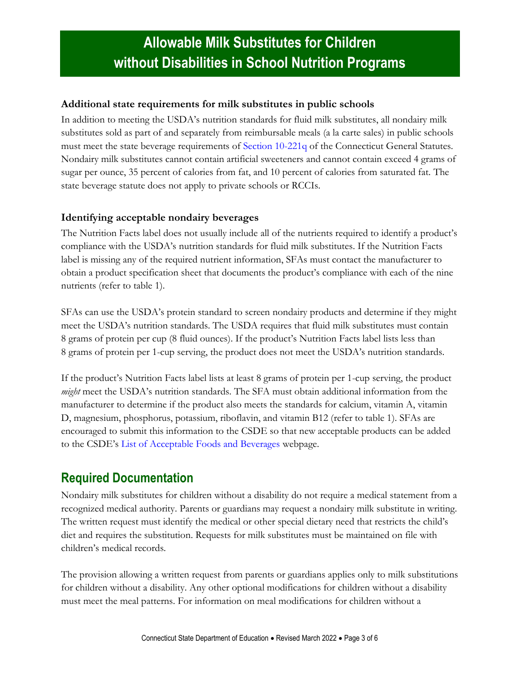#### **Additional state requirements for milk substitutes in public schools**

In addition to meeting the USDA's nutrition standards for fluid milk substitutes, all nondairy milk substitutes sold as part of and separately from reimbursable meals (a la carte sales) in public schools must meet the state beverage requirements of [Section 10-221q](https://www.cga.ct.gov/current/pub/chap_170.htm#sec_10-221q) of the Connecticut General Statutes. Nondairy milk substitutes cannot contain artificial sweeteners and cannot contain exceed 4 grams of sugar per ounce, 35 percent of calories from fat, and 10 percent of calories from saturated fat. The state beverage statute does not apply to private schools or RCCIs.

#### **Identifying acceptable nondairy beverages**

The Nutrition Facts label does not usually include all of the nutrients required to identify a product's compliance with the USDA's nutrition standards for fluid milk substitutes. If the Nutrition Facts label is missing any of the required nutrient information, SFAs must contact the manufacturer to obtain a product specification sheet that documents the product's compliance with each of the nine nutrients (refer to table 1).

SFAs can use the USDA's protein standard to screen nondairy products and determine if they might meet the USDA's nutrition standards. The USDA requires that fluid milk substitutes must contain 8 grams of protein per cup (8 fluid ounces). If the product's Nutrition Facts label lists less than 8 grams of protein per 1-cup serving, the product does not meet the USDA's nutrition standards.

If the product's Nutrition Facts label lists at least 8 grams of protein per 1-cup serving, the product *might* meet the USDA's nutrition standards. The SFA must obtain additional information from the manufacturer to determine if the product also meets the standards for calcium, vitamin A, vitamin D, magnesium, phosphorus, potassium, riboflavin, and vitamin B12 (refer to table 1). SFAs are encouraged to submit this information to the CSDE so that new acceptable products can be added to the CSDE's [List of Acceptable Foods and Beverages](https://portal.ct.gov/SDE/Nutrition/List-of-Acceptable-Foods-and-Beverages) webpage.

### **Required Documentation**

Nondairy milk substitutes for children without a disability do not require a medical statement from a recognized medical authority. Parents or guardians may request a nondairy milk substitute in writing. The written request must identify the medical or other special dietary need that restricts the child's diet and requires the substitution. Requests for milk substitutes must be maintained on file with children's medical records.

The provision allowing a written request from parents or guardians applies only to milk substitutions for children without a disability. Any other optional modifications for children without a disability must meet the meal patterns. For information on meal modifications for children without a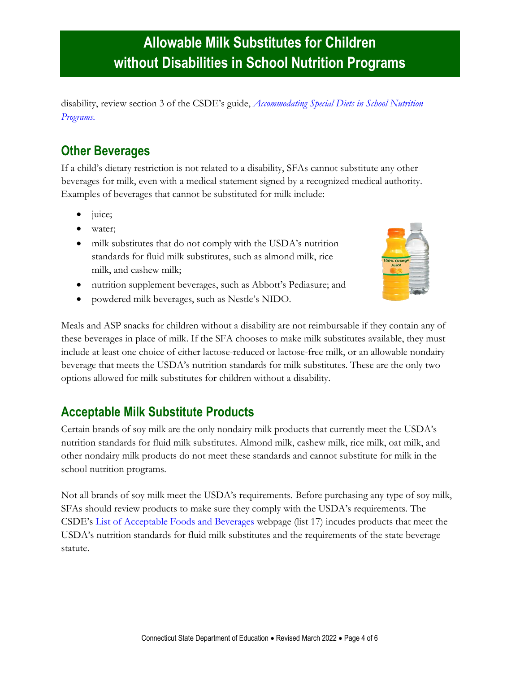disability, review section 3 of the CSDE's guide, *[Accommodating Special Diets in School Nutrition](https://portal.ct.gov/-/media/SDE/Nutrition/NSLP/SpecDiet/Special_Diets_Guide_SNP.pdf)  [Programs.](https://portal.ct.gov/-/media/SDE/Nutrition/NSLP/SpecDiet/Special_Diets_Guide_SNP.pdf)*

## **Other Beverages**

If a child's dietary restriction is not related to a disability, SFAs cannot substitute any other beverages for milk, even with a medical statement signed by a recognized medical authority. Examples of beverages that cannot be substituted for milk include:

- juice;
- water;
- milk substitutes that do not comply with the USDA's nutrition standards for fluid milk substitutes, such as almond milk, rice milk, and cashew milk;
- nutrition supplement beverages, such as Abbott's Pediasure; and
- powdered milk beverages, such as Nestle's NIDO.



Meals and ASP snacks for children without a disability are not reimbursable if they contain any of these beverages in place of milk. If the SFA chooses to make milk substitutes available, they must include at least one choice of either lactose-reduced or lactose-free milk, or an allowable nondairy beverage that meets the USDA's nutrition standards for milk substitutes. These are the only two options allowed for milk substitutes for children without a disability.

### **Acceptable Milk Substitute Products**

Certain brands of soy milk are the only nondairy milk products that currently meet the USDA's nutrition standards for fluid milk substitutes. Almond milk, cashew milk, rice milk, oat milk, and other nondairy milk products do not meet these standards and cannot substitute for milk in the school nutrition programs.

Not all brands of soy milk meet the USDA's requirements. Before purchasing any type of soy milk, SFAs should review products to make sure they comply with the USDA's requirements. The CSDE's [List of Acceptable Foods and Beverages](https://portal.ct.gov/SDE/Nutrition/List-of-Acceptable-Foods-and-Beverages) webpage (list 17) incudes products that meet the USDA's nutrition standards for fluid milk substitutes and the requirements of the state beverage statute.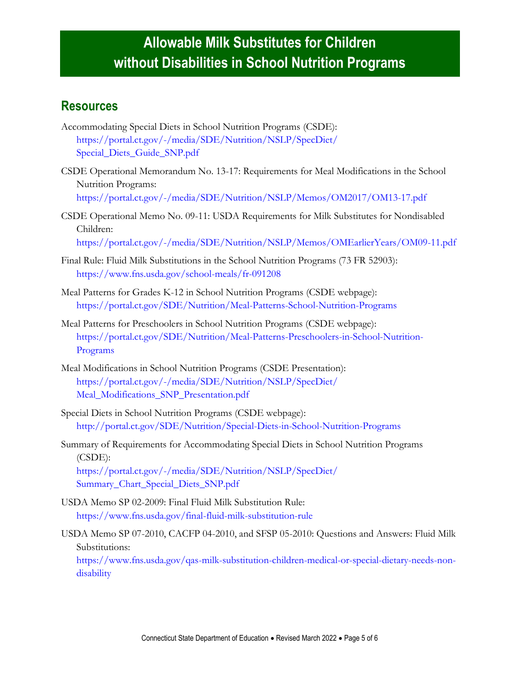### **Resources**

- Accommodating Special Diets in School Nutrition Programs (CSDE): [https://portal.ct.gov/-/media/SDE/Nutrition/NSLP/SpecDiet/](https://portal.ct.gov/-/media/SDE/Nutrition/NSLP/SpecDiet/Special_Diets_Guide_SNP.pdf) [Special\\_Diets\\_Guide\\_SNP.pdf](https://portal.ct.gov/-/media/SDE/Nutrition/NSLP/SpecDiet/Special_Diets_Guide_SNP.pdf)
- CSDE Operational Memorandum No. 13-17: Requirements for Meal Modifications in the School Nutrition Programs: <https://portal.ct.gov/-/media/SDE/Nutrition/NSLP/Memos/OM2017/OM13-17.pdf>

CSDE Operational Memo No. 09-11: USDA Requirements for Milk Substitutes for Nondisabled Children: [https://portal.ct.gov/-/media/SDE/Nutrition/NSLP/Memos/OMEarlierYears/OM09-11.pdf](http://portal.ct.gov/-/media/SDE/Nutrition/NSLP/Memos/OMEarlierYears/OM09-11.pdf)

- Final Rule: Fluid Milk Substitutions in the School Nutrition Programs (73 FR 52903): <https://www.fns.usda.gov/school-meals/fr-091208>
- Meal Patterns for Grades K-12 in School Nutrition Programs (CSDE webpage): <https://portal.ct.gov/SDE/Nutrition/Meal-Patterns-School-Nutrition-Programs>
- Meal Patterns for Preschoolers in School Nutrition Programs (CSDE webpage): [https://portal.ct.gov/SDE/Nutrition/Meal-Patterns-Preschoolers-in-School-Nutrition-](https://portal.ct.gov/SDE/Nutrition/Meal-Patterns-Preschoolers-in-School-Nutrition-Programs)[Programs](https://portal.ct.gov/SDE/Nutrition/Meal-Patterns-Preschoolers-in-School-Nutrition-Programs)
- Meal Modifications in School Nutrition Programs (CSDE Presentation): [https://portal.ct.gov/-/media/SDE/Nutrition/NSLP/SpecDiet/](https://portal.ct.gov/-/media/SDE/Nutrition/NSLP/SpecDiet/Meal_Modifications_SNP_Presentation.pdf) [Meal\\_Modifications\\_SNP\\_Presentation.pdf](https://portal.ct.gov/-/media/SDE/Nutrition/NSLP/SpecDiet/Meal_Modifications_SNP_Presentation.pdf)
- Special Diets in School Nutrition Programs (CSDE webpage): <http://portal.ct.gov/SDE/Nutrition/Special-Diets-in-School-Nutrition-Programs>
- Summary of Requirements for Accommodating Special Diets in School Nutrition Programs (CSDE): [https://portal.ct.gov/-/media/SDE/Nutrition/NSLP/SpecDiet/](https://portal.ct.gov/-/media/SDE/Nutrition/NSLP/SpecDiet/Summary_Chart_Special_Diets_SNP.pdf)

[Summary\\_Chart\\_Special\\_Diets\\_SNP.pdf](https://portal.ct.gov/-/media/SDE/Nutrition/NSLP/SpecDiet/Summary_Chart_Special_Diets_SNP.pdf)

- USDA Memo SP 02-2009: Final Fluid Milk Substitution Rule: <https://www.fns.usda.gov/final-fluid-milk-substitution-rule>
- USDA Memo SP 07-2010, CACFP 04-2010, and SFSP 05-2010: Questions and Answers: Fluid Milk Substitutions:

[https://www.fns.usda.gov/qas-milk-substitution-children-medical-or-special-dietary-needs-non](https://www.fns.usda.gov/qas-milk-substitution-children-medical-or-special-dietary-needs-non-disability)[disability](https://www.fns.usda.gov/qas-milk-substitution-children-medical-or-special-dietary-needs-non-disability)